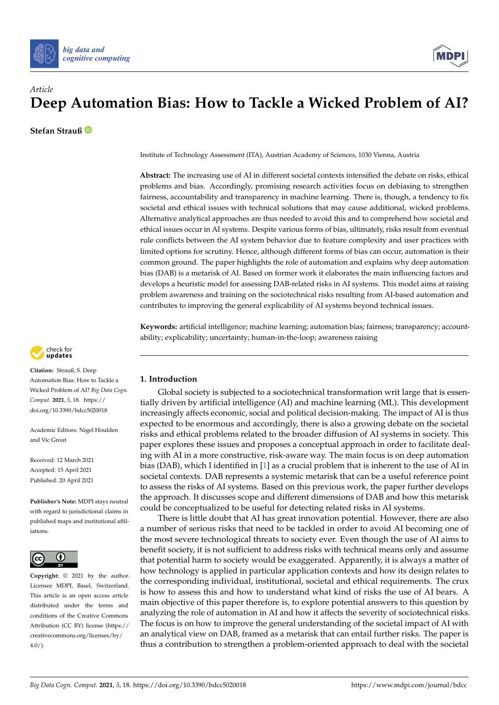



**Stefan Strauß**

Institute of Technology Assessment (ITA), Austrian Academy of Sciences, 1030 Vienna, Austria

**Abstract:** The increasing use of AI in different societal contexts intensified the debate on risks, ethical problems and bias. Accordingly, promising research activities focus on debiasing to strengthen fairness, accountability and transparency in machine learning. There is, though, a tendency to fix societal and ethical issues with technical solutions that may cause additional, wicked problems. Alternative analytical approaches are thus needed to avoid this and to comprehend how societal and ethical issues occur in AI systems. Despite various forms of bias, ultimately, risks result from eventual rule conflicts between the AI system behavior due to feature complexity and user practices with limited options for scrutiny. Hence, although different forms of bias can occur, automation is their common ground. The paper highlights the role of automation and explains why deep automation bias (DAB) is a metarisk of AI. Based on former work it elaborates the main influencing factors and develops a heuristic model for assessing DAB-related risks in AI systems. This model aims at raising problem awareness and training on the sociotechnical risks resulting from AI-based automation and contributes to improving the general explicability of AI systems beyond technical issues.

**Keywords:** artificial intelligence; machine learning; automation bias; fairness; transparency; accountability; explicability; uncertainty; human-in-the-loop; awareness raising



**Citation:** Strauß, S. Deep Automation Bias: How to Tackle a Wicked Problem of AI? *Big Data Cogn. Comput.* **2021**, *5*, 18. [https://](https://doi.org/10.3390/bdcc5020018) [doi.org/10.3390/bdcc5020018](https://doi.org/10.3390/bdcc5020018)

Academic Editors: Nigel Houlden and Vic Grout

Received: 12 March 2021 Accepted: 15 April 2021 Published: 20 April 2021

**Publisher's Note:** MDPI stays neutral with regard to jurisdictional claims in published maps and institutional affiliations.



**Copyright:** © 2021 by the author. Licensee MDPI, Basel, Switzerland. This article is an open access article distributed under the terms and conditions of the Creative Commons Attribution (CC BY) license (https:/[/](https://creativecommons.org/licenses/by/4.0/) [creativecommons.org/licenses/by/](https://creativecommons.org/licenses/by/4.0/)  $4.0/$ ).

# **1. Introduction**

Global society is subjected to a sociotechnical transformation writ large that is essentially driven by artificial intelligence (AI) and machine learning (ML). This development increasingly affects economic, social and political decision-making. The impact of AI is thus expected to be enormous and accordingly, there is also a growing debate on the societal risks and ethical problems related to the broader diffusion of AI systems in society. This paper explores these issues and proposes a conceptual approach in order to facilitate dealing with AI in a more constructive, risk-aware way. The main focus is on deep automation bias (DAB), which I identified in [\[1\]](#page-11-0) as a crucial problem that is inherent to the use of AI in societal contexts. DAB represents a systemic metarisk that can be a useful reference point to assess the risks of AI systems. Based on this previous work, the paper further develops the approach. It discusses scope and different dimensions of DAB and how this metarisk could be conceptualized to be useful for detecting related risks in AI systems.

There is little doubt that AI has great innovation potential. However, there are also a number of serious risks that need to be tackled in order to avoid AI becoming one of the most severe technological threats to society ever. Even though the use of AI aims to benefit society, it is not sufficient to address risks with technical means only and assume that potential harm to society would be exaggerated. Apparently, it is always a matter of how technology is applied in particular application contexts and how its design relates to the corresponding individual, institutional, societal and ethical requirements. The crux is how to assess this and how to understand what kind of risks the use of AI bears. A main objective of this paper therefore is, to explore potential answers to this question by analyzing the role of automation in AI and how it affects the severity of sociotechnical risks. The focus is on how to improve the general understanding of the societal impact of AI with an analytical view on DAB, framed as a metarisk that can entail further risks. The paper is thus a contribution to strengthen a problem-oriented approach to deal with the societal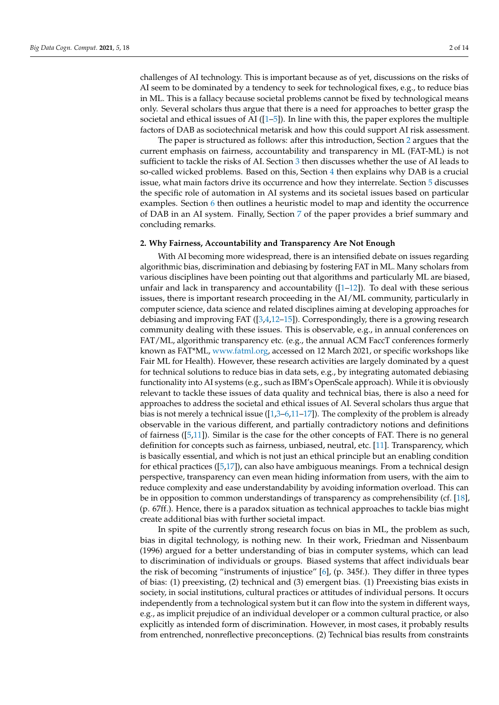challenges of AI technology. This is important because as of yet, discussions on the risks of AI seem to be dominated by a tendency to seek for technological fixes, e.g., to reduce bias in ML. This is a fallacy because societal problems cannot be fixed by technological means only. Several scholars thus argue that there is a need for approaches to better grasp the societal and ethical issues of AI  $(1-5)$ . In line with this, the paper explores the multiple factors of DAB as sociotechnical metarisk and how this could support AI risk assessment.

The paper is structured as follows: after this introduction, Section [2](#page-1-0) argues that the current emphasis on fairness, accountability and transparency in ML (FAT-ML) is not sufficient to tackle the risks of AI. Section [3](#page-2-0) then discusses whether the use of AI leads to so-called wicked problems. Based on this, Section [4](#page-4-0) then explains why DAB is a crucial issue, what main factors drive its occurrence and how they interrelate. Section [5](#page-5-0) discusses the specific role of automation in AI systems and its societal issues based on particular examples. Section [6](#page-8-0) then outlines a heuristic model to map and identity the occurrence of DAB in an AI system. Finally, Section [7](#page-10-0) of the paper provides a brief summary and concluding remarks.

## <span id="page-1-0"></span>**2. Why Fairness, Accountability and Transparency Are Not Enough**

With AI becoming more widespread, there is an intensified debate on issues regarding algorithmic bias, discrimination and debiasing by fostering FAT in ML. Many scholars from various disciplines have been pointing out that algorithms and particularly ML are biased, unfair and lack in transparency and accountability  $(1-12)$ ). To deal with these serious issues, there is important research proceeding in the AI/ML community, particularly in computer science, data science and related disciplines aiming at developing approaches for debiasing and improving FAT ([\[3](#page-11-3)[,4](#page-11-4)[,12–](#page-11-2)[15\]](#page-11-5)). Correspondingly, there is a growing research community dealing with these issues. This is observable, e.g., in annual conferences on FAT/ML, algorithmic transparency etc. (e.g., the annual ACM FaccT conferences formerly known as FAT\*ML, [www.fatml.org,](www.fatml.org) accessed on 12 March 2021, or specific workshops like Fair ML for Health). However, these research activities are largely dominated by a quest for technical solutions to reduce bias in data sets, e.g., by integrating automated debiasing functionality into AI systems (e.g., such as IBM's OpenScale approach). While it is obviously relevant to tackle these issues of data quality and technical bias, there is also a need for approaches to address the societal and ethical issues of AI. Several scholars thus argue that bias is not merely a technical issue  $([1,3-6,11-17])$  $([1,3-6,11-17])$  $([1,3-6,11-17])$  $([1,3-6,11-17])$  $([1,3-6,11-17])$  $([1,3-6,11-17])$ . The complexity of the problem is already observable in the various different, and partially contradictory notions and definitions of fairness ([\[5](#page-11-1)[,11\]](#page-11-7)). Similar is the case for the other concepts of FAT. There is no general definition for concepts such as fairness, unbiased, neutral, etc. [\[11\]](#page-11-7). Transparency, which is basically essential, and which is not just an ethical principle but an enabling condition for ethical practices ([\[5](#page-11-1)[,17\]](#page-11-8)), can also have ambiguous meanings. From a technical design perspective, transparency can even mean hiding information from users, with the aim to reduce complexity and ease understandability by avoiding information overload. This can be in opposition to common understandings of transparency as comprehensibility (cf. [\[18\]](#page-12-0), (p. 67ff.). Hence, there is a paradox situation as technical approaches to tackle bias might create additional bias with further societal impact.

In spite of the currently strong research focus on bias in ML, the problem as such, bias in digital technology, is nothing new. In their work, Friedman and Nissenbaum (1996) argued for a better understanding of bias in computer systems, which can lead to discrimination of individuals or groups. Biased systems that affect individuals bear the risk of becoming "instruments of injustice" [\[6\]](#page-11-6), (p. 345f.). They differ in three types of bias: (1) preexisting, (2) technical and (3) emergent bias. (1) Preexisting bias exists in society, in social institutions, cultural practices or attitudes of individual persons. It occurs independently from a technological system but it can flow into the system in different ways, e.g., as implicit prejudice of an individual developer or a common cultural practice, or also explicitly as intended form of discrimination. However, in most cases, it probably results from entrenched, nonreflective preconceptions. (2) Technical bias results from constraints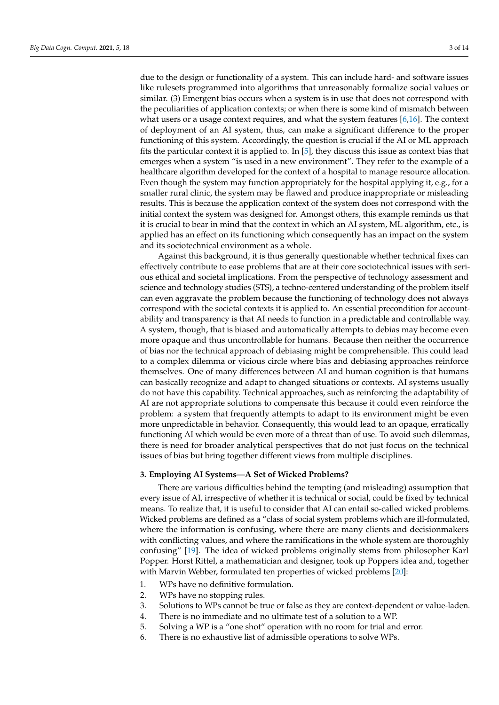due to the design or functionality of a system. This can include hard- and software issues like rulesets programmed into algorithms that unreasonably formalize social values or similar. (3) Emergent bias occurs when a system is in use that does not correspond with the peculiarities of application contexts; or when there is some kind of mismatch between what users or a usage context requires, and what the system features  $[6,16]$  $[6,16]$ . The context of deployment of an AI system, thus, can make a significant difference to the proper functioning of this system. Accordingly, the question is crucial if the AI or ML approach fits the particular context it is applied to. In [\[5\]](#page-11-1), they discuss this issue as context bias that emerges when a system "is used in a new environment". They refer to the example of a healthcare algorithm developed for the context of a hospital to manage resource allocation. Even though the system may function appropriately for the hospital applying it, e.g., for a smaller rural clinic, the system may be flawed and produce inappropriate or misleading results. This is because the application context of the system does not correspond with the initial context the system was designed for. Amongst others, this example reminds us that it is crucial to bear in mind that the context in which an AI system, ML algorithm, etc., is applied has an effect on its functioning which consequently has an impact on the system and its sociotechnical environment as a whole.

Against this background, it is thus generally questionable whether technical fixes can effectively contribute to ease problems that are at their core sociotechnical issues with serious ethical and societal implications. From the perspective of technology assessment and science and technology studies (STS), a techno-centered understanding of the problem itself can even aggravate the problem because the functioning of technology does not always correspond with the societal contexts it is applied to. An essential precondition for accountability and transparency is that AI needs to function in a predictable and controllable way. A system, though, that is biased and automatically attempts to debias may become even more opaque and thus uncontrollable for humans. Because then neither the occurrence of bias nor the technical approach of debiasing might be comprehensible. This could lead to a complex dilemma or vicious circle where bias and debiasing approaches reinforce themselves. One of many differences between AI and human cognition is that humans can basically recognize and adapt to changed situations or contexts. AI systems usually do not have this capability. Technical approaches, such as reinforcing the adaptability of AI are not appropriate solutions to compensate this because it could even reinforce the problem: a system that frequently attempts to adapt to its environment might be even more unpredictable in behavior. Consequently, this would lead to an opaque, erratically functioning AI which would be even more of a threat than of use. To avoid such dilemmas, there is need for broader analytical perspectives that do not just focus on the technical issues of bias but bring together different views from multiple disciplines.

# <span id="page-2-0"></span>**3. Employing AI Systems—A Set of Wicked Problems?**

There are various difficulties behind the tempting (and misleading) assumption that every issue of AI, irrespective of whether it is technical or social, could be fixed by technical means. To realize that, it is useful to consider that AI can entail so-called wicked problems. Wicked problems are defined as a "class of social system problems which are ill-formulated, where the information is confusing, where there are many clients and decisionmakers with conflicting values, and where the ramifications in the whole system are thoroughly confusing" [\[19\]](#page-12-1). The idea of wicked problems originally stems from philosopher Karl Popper. Horst Rittel, a mathematician and designer, took up Poppers idea and, together with Marvin Webber, formulated ten properties of wicked problems [\[20\]](#page-12-2):

- 1. WPs have no definitive formulation.
- 2. WPs have no stopping rules.
- 3. Solutions to WPs cannot be true or false as they are context-dependent or value-laden.
- 4. There is no immediate and no ultimate test of a solution to a WP.
- 5. Solving a WP is a "one shot" operation with no room for trial and error.
- 6. There is no exhaustive list of admissible operations to solve WPs.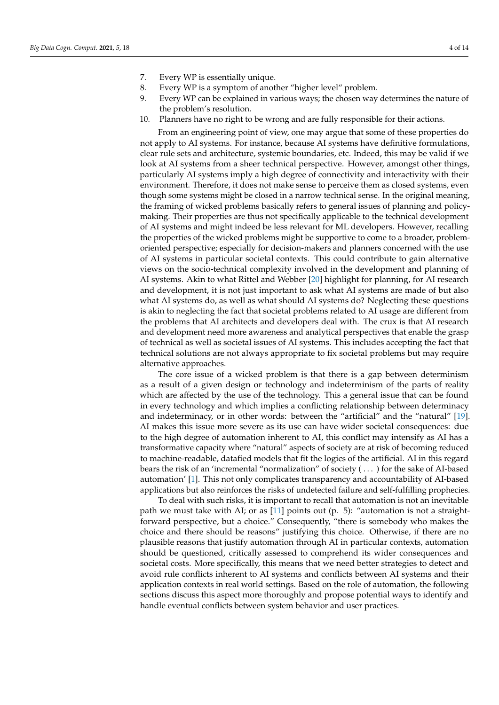- 7. Every WP is essentially unique.
- 8. Every WP is a symptom of another "higher level" problem.
- 9. Every WP can be explained in various ways; the chosen way determines the nature of the problem's resolution.
- 10. Planners have no right to be wrong and are fully responsible for their actions.

From an engineering point of view, one may argue that some of these properties do not apply to AI systems. For instance, because AI systems have definitive formulations, clear rule sets and architecture, systemic boundaries, etc. Indeed, this may be valid if we look at AI systems from a sheer technical perspective. However, amongst other things, particularly AI systems imply a high degree of connectivity and interactivity with their environment. Therefore, it does not make sense to perceive them as closed systems, even though some systems might be closed in a narrow technical sense. In the original meaning, the framing of wicked problems basically refers to general issues of planning and policymaking. Their properties are thus not specifically applicable to the technical development of AI systems and might indeed be less relevant for ML developers. However, recalling the properties of the wicked problems might be supportive to come to a broader, problemoriented perspective; especially for decision-makers and planners concerned with the use of AI systems in particular societal contexts. This could contribute to gain alternative views on the socio-technical complexity involved in the development and planning of AI systems. Akin to what Rittel and Webber [\[20\]](#page-12-2) highlight for planning, for AI research and development, it is not just important to ask what AI systems are made of but also what AI systems do, as well as what should AI systems do? Neglecting these questions is akin to neglecting the fact that societal problems related to AI usage are different from the problems that AI architects and developers deal with. The crux is that AI research and development need more awareness and analytical perspectives that enable the grasp of technical as well as societal issues of AI systems. This includes accepting the fact that technical solutions are not always appropriate to fix societal problems but may require alternative approaches.

The core issue of a wicked problem is that there is a gap between determinism as a result of a given design or technology and indeterminism of the parts of reality which are affected by the use of the technology. This a general issue that can be found in every technology and which implies a conflicting relationship between determinacy and indeterminacy, or in other words: between the "artificial" and the "natural" [\[19\]](#page-12-1). AI makes this issue more severe as its use can have wider societal consequences: due to the high degree of automation inherent to AI, this conflict may intensify as AI has a transformative capacity where "natural" aspects of society are at risk of becoming reduced to machine-readable, datafied models that fit the logics of the artificial. AI in this regard bears the risk of an 'incremental "normalization" of society ( . . . ) for the sake of AI-based automation' [\[1\]](#page-11-0). This not only complicates transparency and accountability of AI-based applications but also reinforces the risks of undetected failure and self-fulfilling prophecies.

To deal with such risks, it is important to recall that automation is not an inevitable path we must take with AI; or as [\[11\]](#page-11-7) points out (p. 5): "automation is not a straightforward perspective, but a choice." Consequently, "there is somebody who makes the choice and there should be reasons" justifying this choice. Otherwise, if there are no plausible reasons that justify automation through AI in particular contexts, automation should be questioned, critically assessed to comprehend its wider consequences and societal costs. More specifically, this means that we need better strategies to detect and avoid rule conflicts inherent to AI systems and conflicts between AI systems and their application contexts in real world settings. Based on the role of automation, the following sections discuss this aspect more thoroughly and propose potential ways to identify and handle eventual conflicts between system behavior and user practices.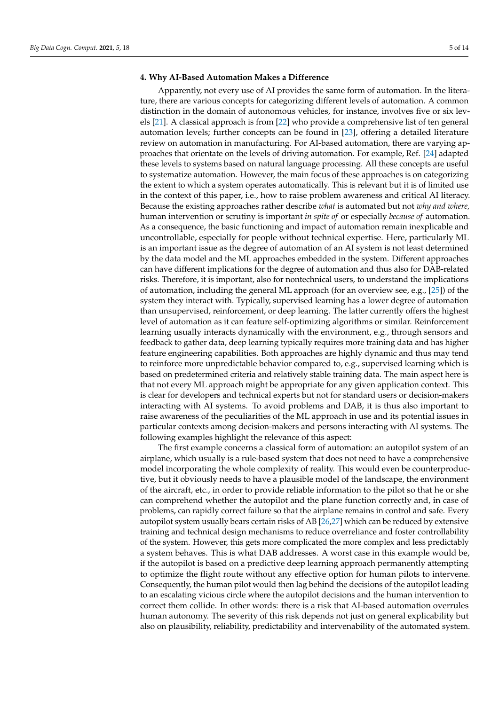#### <span id="page-4-0"></span>**4. Why AI-Based Automation Makes a Difference**

Apparently, not every use of AI provides the same form of automation. In the literature, there are various concepts for categorizing different levels of automation. A common distinction in the domain of autonomous vehicles, for instance, involves five or six levels [\[21\]](#page-12-3). A classical approach is from [\[22\]](#page-12-4) who provide a comprehensive list of ten general automation levels; further concepts can be found in [\[23\]](#page-12-5), offering a detailed literature review on automation in manufacturing. For AI-based automation, there are varying approaches that orientate on the levels of driving automation. For example, Ref. [\[24\]](#page-12-6) adapted these levels to systems based on natural language processing. All these concepts are useful to systematize automation. However, the main focus of these approaches is on categorizing the extent to which a system operates automatically. This is relevant but it is of limited use in the context of this paper, i.e., how to raise problem awareness and critical AI literacy. Because the existing approaches rather describe *what* is automated but not *why and where,* human intervention or scrutiny is important *in spite of* or especially *because of* automation. As a consequence, the basic functioning and impact of automation remain inexplicable and uncontrollable, especially for people without technical expertise. Here, particularly ML is an important issue as the degree of automation of an AI system is not least determined by the data model and the ML approaches embedded in the system. Different approaches can have different implications for the degree of automation and thus also for DAB-related risks. Therefore, it is important, also for nontechnical users, to understand the implications of automation, including the general ML approach (for an overview see, e.g., [\[25\]](#page-12-7)) of the system they interact with. Typically, supervised learning has a lower degree of automation than unsupervised, reinforcement, or deep learning. The latter currently offers the highest level of automation as it can feature self-optimizing algorithms or similar. Reinforcement learning usually interacts dynamically with the environment, e.g., through sensors and feedback to gather data, deep learning typically requires more training data and has higher feature engineering capabilities. Both approaches are highly dynamic and thus may tend to reinforce more unpredictable behavior compared to, e.g., supervised learning which is based on predetermined criteria and relatively stable training data. The main aspect here is that not every ML approach might be appropriate for any given application context. This is clear for developers and technical experts but not for standard users or decision-makers interacting with AI systems. To avoid problems and DAB, it is thus also important to raise awareness of the peculiarities of the ML approach in use and its potential issues in particular contexts among decision-makers and persons interacting with AI systems. The following examples highlight the relevance of this aspect:

The first example concerns a classical form of automation: an autopilot system of an airplane, which usually is a rule-based system that does not need to have a comprehensive model incorporating the whole complexity of reality. This would even be counterproductive, but it obviously needs to have a plausible model of the landscape, the environment of the aircraft, etc., in order to provide reliable information to the pilot so that he or she can comprehend whether the autopilot and the plane function correctly and, in case of problems, can rapidly correct failure so that the airplane remains in control and safe. Every autopilot system usually bears certain risks of AB [\[26,](#page-12-8)[27\]](#page-12-9) which can be reduced by extensive training and technical design mechanisms to reduce overreliance and foster controllability of the system. However, this gets more complicated the more complex and less predictably a system behaves. This is what DAB addresses. A worst case in this example would be, if the autopilot is based on a predictive deep learning approach permanently attempting to optimize the flight route without any effective option for human pilots to intervene. Consequently, the human pilot would then lag behind the decisions of the autopilot leading to an escalating vicious circle where the autopilot decisions and the human intervention to correct them collide. In other words: there is a risk that AI-based automation overrules human autonomy. The severity of this risk depends not just on general explicability but also on plausibility, reliability, predictability and intervenability of the automated system.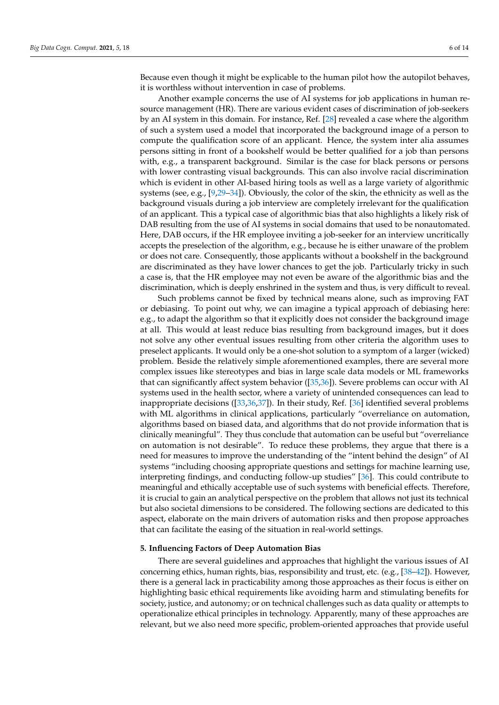Because even though it might be explicable to the human pilot how the autopilot behaves, it is worthless without intervention in case of problems.

Another example concerns the use of AI systems for job applications in human resource management (HR). There are various evident cases of discrimination of job-seekers by an AI system in this domain. For instance, Ref. [\[28\]](#page-12-10) revealed a case where the algorithm of such a system used a model that incorporated the background image of a person to compute the qualification score of an applicant. Hence, the system inter alia assumes persons sitting in front of a bookshelf would be better qualified for a job than persons with, e.g., a transparent background. Similar is the case for black persons or persons with lower contrasting visual backgrounds. This can also involve racial discrimination which is evident in other AI-based hiring tools as well as a large variety of algorithmic systems (see, e.g., [\[9](#page-11-10)[,29–](#page-12-11)[34\]](#page-12-12)). Obviously, the color of the skin, the ethnicity as well as the background visuals during a job interview are completely irrelevant for the qualification of an applicant. This a typical case of algorithmic bias that also highlights a likely risk of DAB resulting from the use of AI systems in social domains that used to be nonautomated. Here, DAB occurs, if the HR employee inviting a job-seeker for an interview uncritically accepts the preselection of the algorithm, e.g., because he is either unaware of the problem or does not care. Consequently, those applicants without a bookshelf in the background are discriminated as they have lower chances to get the job. Particularly tricky in such a case is, that the HR employee may not even be aware of the algorithmic bias and the discrimination, which is deeply enshrined in the system and thus, is very difficult to reveal.

Such problems cannot be fixed by technical means alone, such as improving FAT or debiasing. To point out why, we can imagine a typical approach of debiasing here: e.g., to adapt the algorithm so that it explicitly does not consider the background image at all. This would at least reduce bias resulting from background images, but it does not solve any other eventual issues resulting from other criteria the algorithm uses to preselect applicants. It would only be a one-shot solution to a symptom of a larger (wicked) problem. Beside the relatively simple aforementioned examples, there are several more complex issues like stereotypes and bias in large scale data models or ML frameworks that can significantly affect system behavior ([\[35,](#page-12-13)[36\]](#page-12-14)). Severe problems can occur with AI systems used in the health sector, where a variety of unintended consequences can lead to inappropriate decisions ([\[33](#page-12-15)[,36](#page-12-14)[,37\]](#page-12-16)). In their study, Ref. [\[36\]](#page-12-14) identified several problems with ML algorithms in clinical applications, particularly "overreliance on automation, algorithms based on biased data, and algorithms that do not provide information that is clinically meaningful". They thus conclude that automation can be useful but "overreliance on automation is not desirable". To reduce these problems, they argue that there is a need for measures to improve the understanding of the "intent behind the design" of AI systems "including choosing appropriate questions and settings for machine learning use, interpreting findings, and conducting follow-up studies" [\[36\]](#page-12-14). This could contribute to meaningful and ethically acceptable use of such systems with beneficial effects. Therefore, it is crucial to gain an analytical perspective on the problem that allows not just its technical but also societal dimensions to be considered. The following sections are dedicated to this aspect, elaborate on the main drivers of automation risks and then propose approaches that can facilitate the easing of the situation in real-world settings.

#### <span id="page-5-0"></span>**5. Influencing Factors of Deep Automation Bias**

There are several guidelines and approaches that highlight the various issues of AI concerning ethics, human rights, bias, responsibility and trust, etc. (e.g., [\[38–](#page-12-17)[42\]](#page-12-18)). However, there is a general lack in practicability among those approaches as their focus is either on highlighting basic ethical requirements like avoiding harm and stimulating benefits for society, justice, and autonomy; or on technical challenges such as data quality or attempts to operationalize ethical principles in technology. Apparently, many of these approaches are relevant, but we also need more specific, problem-oriented approaches that provide useful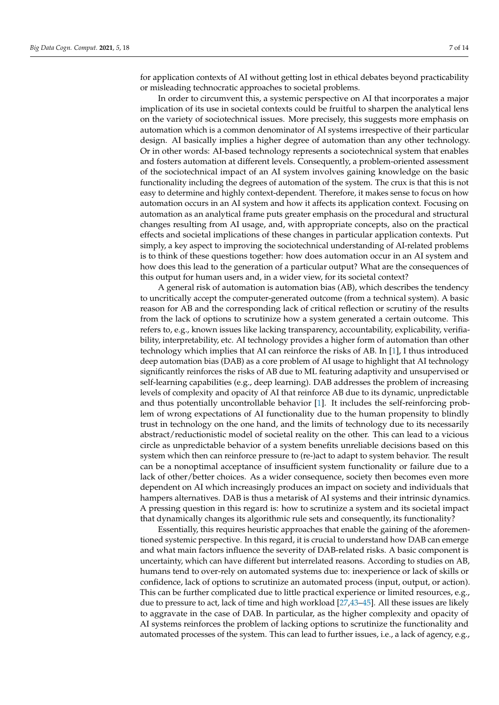for application contexts of AI without getting lost in ethical debates beyond practicability or misleading technocratic approaches to societal problems.

In order to circumvent this, a systemic perspective on AI that incorporates a major implication of its use in societal contexts could be fruitful to sharpen the analytical lens on the variety of sociotechnical issues. More precisely, this suggests more emphasis on automation which is a common denominator of AI systems irrespective of their particular design. AI basically implies a higher degree of automation than any other technology. Or in other words: AI-based technology represents a sociotechnical system that enables and fosters automation at different levels. Consequently, a problem-oriented assessment of the sociotechnical impact of an AI system involves gaining knowledge on the basic functionality including the degrees of automation of the system. The crux is that this is not easy to determine and highly context-dependent. Therefore, it makes sense to focus on how automation occurs in an AI system and how it affects its application context. Focusing on automation as an analytical frame puts greater emphasis on the procedural and structural changes resulting from AI usage, and, with appropriate concepts, also on the practical effects and societal implications of these changes in particular application contexts. Put simply, a key aspect to improving the sociotechnical understanding of AI-related problems is to think of these questions together: how does automation occur in an AI system and how does this lead to the generation of a particular output? What are the consequences of this output for human users and, in a wider view, for its societal context?

A general risk of automation is automation bias (AB), which describes the tendency to uncritically accept the computer-generated outcome (from a technical system). A basic reason for AB and the corresponding lack of critical reflection or scrutiny of the results from the lack of options to scrutinize how a system generated a certain outcome. This refers to, e.g., known issues like lacking transparency, accountability, explicability, verifiability, interpretability, etc. AI technology provides a higher form of automation than other technology which implies that AI can reinforce the risks of AB. In [\[1\]](#page-11-0), I thus introduced deep automation bias (DAB) as a core problem of AI usage to highlight that AI technology significantly reinforces the risks of AB due to ML featuring adaptivity and unsupervised or self-learning capabilities (e.g., deep learning). DAB addresses the problem of increasing levels of complexity and opacity of AI that reinforce AB due to its dynamic, unpredictable and thus potentially uncontrollable behavior [\[1\]](#page-11-0). It includes the self-reinforcing problem of wrong expectations of AI functionality due to the human propensity to blindly trust in technology on the one hand, and the limits of technology due to its necessarily abstract/reductionistic model of societal reality on the other. This can lead to a vicious circle as unpredictable behavior of a system benefits unreliable decisions based on this system which then can reinforce pressure to (re-)act to adapt to system behavior. The result can be a nonoptimal acceptance of insufficient system functionality or failure due to a lack of other/better choices. As a wider consequence, society then becomes even more dependent on AI which increasingly produces an impact on society and individuals that hampers alternatives. DAB is thus a metarisk of AI systems and their intrinsic dynamics. A pressing question in this regard is: how to scrutinize a system and its societal impact that dynamically changes its algorithmic rule sets and consequently, its functionality?

Essentially, this requires heuristic approaches that enable the gaining of the aforementioned systemic perspective. In this regard, it is crucial to understand how DAB can emerge and what main factors influence the severity of DAB-related risks. A basic component is uncertainty, which can have different but interrelated reasons. According to studies on AB, humans tend to over-rely on automated systems due to: inexperience or lack of skills or confidence, lack of options to scrutinize an automated process (input, output, or action). This can be further complicated due to little practical experience or limited resources, e.g., due to pressure to act, lack of time and high workload [\[27](#page-12-9)[,43–](#page-13-0)[45\]](#page-13-1). All these issues are likely to aggravate in the case of DAB. In particular, as the higher complexity and opacity of AI systems reinforces the problem of lacking options to scrutinize the functionality and automated processes of the system. This can lead to further issues, i.e., a lack of agency, e.g.,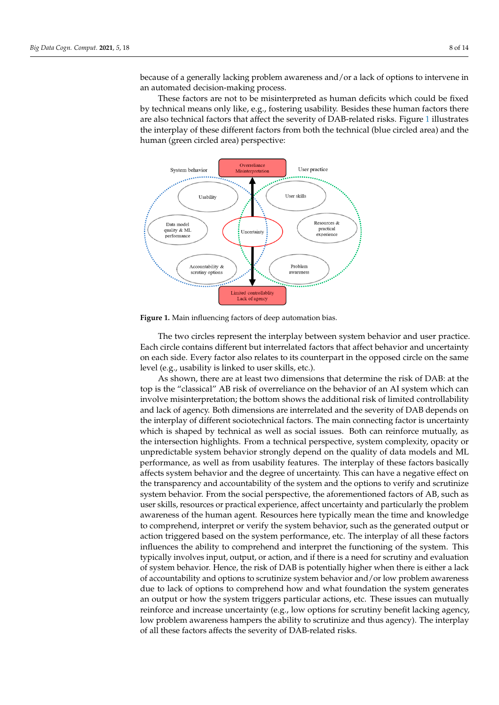because of a generally lacking problem awareness and/or a lack of options to intervene in an automated decision-making process.

complexity and opacity of  $A$  systems references the problem of lacking options to scruti-and  $\alpha$ 

These factors are not to be misinterpreted as human deficits which could be fixed These factors are not to be misinterpreted as human deficits which could be fixed by by technical means only like, e.g., fostering usability. Besides these human factors there are also technical factors that affect the severity of DAB-related risks. Figure 1 ill[us](#page-7-0)trates the interplay of these different factors from both the technical (blue circled area) and the human (green circled area) perspective: man (green circled area) perspective:

<span id="page-7-0"></span>

**Figure 1.** Main influencing factors of deep automation bias. **Figure 1.** Main influencing factors of deep automation bias.

The two circles represent the interplay between system behavior and user practice. The two circles represent the interplay between system behavior and user practice. Each circle contains different but interrelated factors that affect behavior and uncertainty Each circle contains different but interrelated factors that affect behavior and uncertainty on each side. Every factor also relates to its counterpart in the opposed circle on the same on each side. Every factor also relates to its counterpart in the opposed circle on the same level (e.g., usability is linked to user skills, etc.). level (e.g., usability is linked to user skills, etc.).

As shown, there are at least two dimensions that determine the risk of DAB: at the As shown, there are at least two dimensions that determine the risk of DAB: at the top is the "classical" AB risk of overreliance on the behavior of an AI system which can top is the "classical" AB risk of overreliance on the behavior of an AI system which can involve misinterpretation; the bottom shows the additional risk of limited controllability involve misinterpretation; the bottom shows the additional risk of limited controllability and lack of agency. Both dimensions are interrelated and the severity of DAB depends on and lack of agency. Both dimensions are interrelated and the severity of DAB depends on the interplay of different sociotechnical factors. The main connecting factor is uncertainty the interplay of different sociotechnical factors. The main connecting factor is uncertainty which is shaped by technical as well as social issues. Both can reinforce mutually, as the intersection highlights. From a technical perspective, system complexity, opacity or unpredictable system behavior strongly depend on the quality of data models and ML performance, as well as from usability features. The interplay of these factors basically affects system behavior and the degree of uncertainty. This can have a negative effect on the transparency and accountability of the system and the options to verify and scrutinize system behavior. From the social perspective, the aforementioned factors of AB, such as user skills, resources or practical experience, affect uncertainty and particularly the problem awareness of the human agent. Resources here typically mean the time and knowledge to comprehend, interpret or verify the system behavior, such as the generated output or action triggered based on the system performance, etc. The interplay of all these factors factors influences the ability to comprehend and interpret the functioning of the system. typically involves input, output, or action, and if there is a need for scrutiny and evaluation<br>of sustan labority. Hence, the sight of DAP is notestially high surgher than is sithered lab of system behavior. Hence, the risk of DAB is potentially higher when there is entire a measure of accountability and options to scrutinize system behavior and/or low problem awareness due to lack of options to comprehend how and what foundation the system generates an output or how the system triggers particular actions, etc. These issues can mutually influences the ability to comprehend and interpret the functioning of the system. This of system behavior. Hence, the risk of DAB is potentially higher when there is either a lack reinforce and increase uncertainty (e.g., low options for scrutiny benefit lacking agency, low problem awareness hampers the ability to scrutinize and thus agency). The interplay of all these factors affects the severity of DAB-related risks.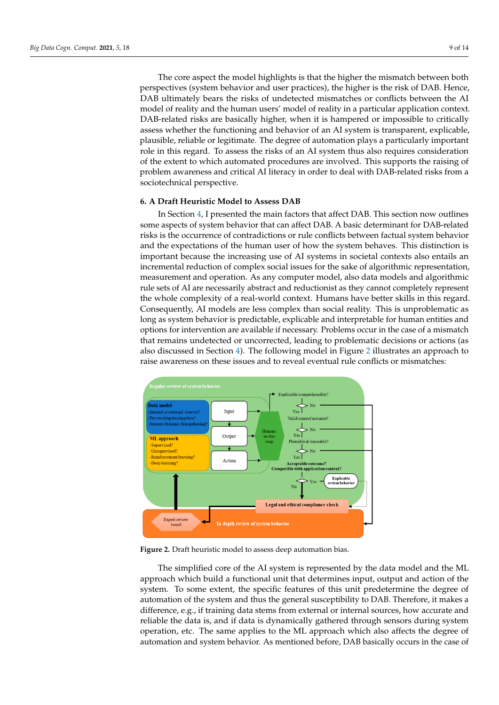The core aspect the model highlights is that the higher the mismatch between both perspectives (system behavior and user practices), the higher is the risk of DAB. Hence, DAB ultimately bears the risks of undetected mismatches or conflicts between the AI model of reality and the human users' model of reality in a particular application context. DAB-related risks are basically higher, when it is hampered or impossible to critically assess whether the functioning and behavior of an AI system is transparent, explicable, plausible, reliable or legitimate. The degree of automation plays a particularly important role in this regard. To assess the risks of an AI system thus also requires consideration of the extent to which automated procedures are involved. This supports the raising of problem awareness and critical AI literacy in order to deal with DAB-related risks from a sociotechnical perspective. I he core aspect the model highlights is that the higher the mismatch between both

The core aspect the model highlights is that the higher the mismatch between both

# <span id="page-8-0"></span>**6. A Draft Heuristic Model to Assess DAB**

In Section [4,](#page-4-0) I presented the main factors that affect DAB. This section now outlines some aspects of system behavior that can affect DAB. A basic determinant for DAB-related risks is the occurrence of contradictions or rule conflicts between factual system behavior and the expectations of the human user of how the system behaves. This distinction is important because the increasing use of AI systems in societal contexts also entails an incremental reduction of complex social issues for the sake of algorithmic representation, measurement and operation. As any computer model, also data models and algorithmic rule sets of AI are necessarily abstract and reductionist as they cannot completely represent the whole complexity of a real-world context. Humans have better skills in this regard. Consequently, AI models are less complex than social reality. This is unproblematic as long as system behavior is predictable, explicable and interpretable for human entities and options for intervention are available if necessary. Problems occur in the case of a mismatch that remains undetected or uncorrected, leading to problematic decisions or actions (as also discussed in Section 4). The following model in Figure 2 illustrate[s](#page-4-0) an approach to raise awareness on these issues and to reveal eventual rule conflicts or mismatches:

<span id="page-8-1"></span>

**Figure 2.** Draft heuristic model to assess deep automation bias. **Figure 2.** Draft heuristic model to assess deep automation bias.

The simplified core of the AI system is represented by the data model and the ML The simplified core of the AI system is represented by the data model and the ML approach which build a functional unit that determines input, output and action of the approach which build a functional unit that determines input, output and action of the system. To some extent, the specific features of this unit predetermine the degree of automation of the system and thus the general susceptibility to DAB. Therefore, it makes a difference, e.g., if training data stems from external or internal sources, how accurate and reliable the data is, and if data is dynamically gathered through sensors during system operation, etc. The same applies to the ML approach which also affects the degree of automation and system behavior. As mentioned before, DAB basically occurs in the case of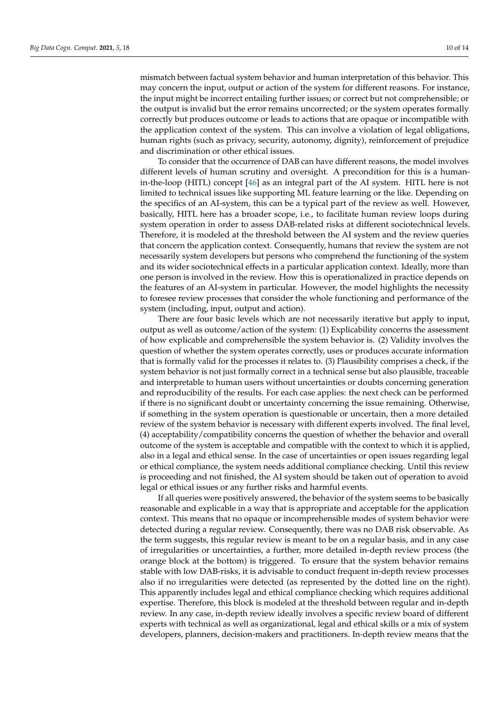mismatch between factual system behavior and human interpretation of this behavior. This may concern the input, output or action of the system for different reasons. For instance, the input might be incorrect entailing further issues; or correct but not comprehensible; or the output is invalid but the error remains uncorrected; or the system operates formally correctly but produces outcome or leads to actions that are opaque or incompatible with the application context of the system. This can involve a violation of legal obligations, human rights (such as privacy, security, autonomy, dignity), reinforcement of prejudice and discrimination or other ethical issues.

To consider that the occurrence of DAB can have different reasons, the model involves different levels of human scrutiny and oversight. A precondition for this is a humanin-the-loop (HITL) concept [\[46\]](#page-13-2) as an integral part of the AI system. HITL here is not limited to technical issues like supporting ML feature learning or the like. Depending on the specifics of an AI-system, this can be a typical part of the review as well. However, basically, HITL here has a broader scope, i.e., to facilitate human review loops during system operation in order to assess DAB-related risks at different sociotechnical levels. Therefore, it is modeled at the threshold between the AI system and the review queries that concern the application context. Consequently, humans that review the system are not necessarily system developers but persons who comprehend the functioning of the system and its wider sociotechnical effects in a particular application context. Ideally, more than one person is involved in the review. How this is operationalized in practice depends on the features of an AI-system in particular. However, the model highlights the necessity to foresee review processes that consider the whole functioning and performance of the system (including, input, output and action).

There are four basic levels which are not necessarily iterative but apply to input, output as well as outcome/action of the system: (1) Explicability concerns the assessment of how explicable and comprehensible the system behavior is. (2) Validity involves the question of whether the system operates correctly, uses or produces accurate information that is formally valid for the processes it relates to. (3) Plausibility comprises a check, if the system behavior is not just formally correct in a technical sense but also plausible, traceable and interpretable to human users without uncertainties or doubts concerning generation and reproducibility of the results. For each case applies: the next check can be performed if there is no significant doubt or uncertainty concerning the issue remaining. Otherwise, if something in the system operation is questionable or uncertain, then a more detailed review of the system behavior is necessary with different experts involved. The final level, (4) acceptability/compatibility concerns the question of whether the behavior and overall outcome of the system is acceptable and compatible with the context to which it is applied, also in a legal and ethical sense. In the case of uncertainties or open issues regarding legal or ethical compliance, the system needs additional compliance checking. Until this review is proceeding and not finished, the AI system should be taken out of operation to avoid legal or ethical issues or any further risks and harmful events.

If all queries were positively answered, the behavior of the system seems to be basically reasonable and explicable in a way that is appropriate and acceptable for the application context. This means that no opaque or incomprehensible modes of system behavior were detected during a regular review. Consequently, there was no DAB risk observable. As the term suggests, this regular review is meant to be on a regular basis, and in any case of irregularities or uncertainties, a further, more detailed in-depth review process (the orange block at the bottom) is triggered. To ensure that the system behavior remains stable with low DAB-risks, it is advisable to conduct frequent in-depth review processes also if no irregularities were detected (as represented by the dotted line on the right). This apparently includes legal and ethical compliance checking which requires additional expertise. Therefore, this block is modeled at the threshold between regular and in-depth review. In any case, in-depth review ideally involves a specific review board of different experts with technical as well as organizational, legal and ethical skills or a mix of system developers, planners, decision-makers and practitioners. In-depth review means that the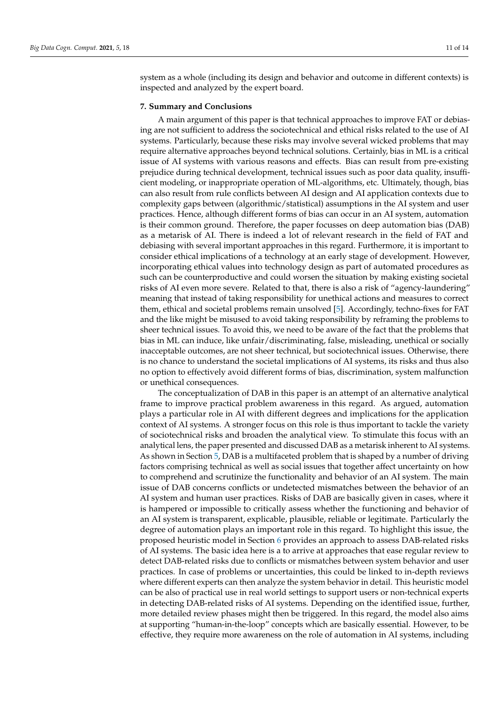system as a whole (including its design and behavior and outcome in different contexts) is inspected and analyzed by the expert board.

### <span id="page-10-0"></span>**7. Summary and Conclusions**

A main argument of this paper is that technical approaches to improve FAT or debiasing are not sufficient to address the sociotechnical and ethical risks related to the use of AI systems. Particularly, because these risks may involve several wicked problems that may require alternative approaches beyond technical solutions. Certainly, bias in ML is a critical issue of AI systems with various reasons and effects. Bias can result from pre-existing prejudice during technical development, technical issues such as poor data quality, insufficient modeling, or inappropriate operation of ML-algorithms, etc. Ultimately, though, bias can also result from rule conflicts between AI design and AI application contexts due to complexity gaps between (algorithmic/statistical) assumptions in the AI system and user practices. Hence, although different forms of bias can occur in an AI system, automation is their common ground. Therefore, the paper focusses on deep automation bias (DAB) as a metarisk of AI. There is indeed a lot of relevant research in the field of FAT and debiasing with several important approaches in this regard. Furthermore, it is important to consider ethical implications of a technology at an early stage of development. However, incorporating ethical values into technology design as part of automated procedures as such can be counterproductive and could worsen the situation by making existing societal risks of AI even more severe. Related to that, there is also a risk of "agency-laundering" meaning that instead of taking responsibility for unethical actions and measures to correct them, ethical and societal problems remain unsolved [\[5\]](#page-11-1). Accordingly, techno-fixes for FAT and the like might be misused to avoid taking responsibility by reframing the problems to sheer technical issues. To avoid this, we need to be aware of the fact that the problems that bias in ML can induce, like unfair/discriminating, false, misleading, unethical or socially inacceptable outcomes, are not sheer technical, but sociotechnical issues. Otherwise, there is no chance to understand the societal implications of AI systems, its risks and thus also no option to effectively avoid different forms of bias, discrimination, system malfunction or unethical consequences.

The conceptualization of DAB in this paper is an attempt of an alternative analytical frame to improve practical problem awareness in this regard. As argued, automation plays a particular role in AI with different degrees and implications for the application context of AI systems. A stronger focus on this role is thus important to tackle the variety of sociotechnical risks and broaden the analytical view. To stimulate this focus with an analytical lens, the paper presented and discussed DAB as a metarisk inherent to AI systems. As shown in Section [5,](#page-5-0) DAB is a multifaceted problem that is shaped by a number of driving factors comprising technical as well as social issues that together affect uncertainty on how to comprehend and scrutinize the functionality and behavior of an AI system. The main issue of DAB concerns conflicts or undetected mismatches between the behavior of an AI system and human user practices. Risks of DAB are basically given in cases, where it is hampered or impossible to critically assess whether the functioning and behavior of an AI system is transparent, explicable, plausible, reliable or legitimate. Particularly the degree of automation plays an important role in this regard. To highlight this issue, the proposed heuristic model in Section [6](#page-8-0) provides an approach to assess DAB-related risks of AI systems. The basic idea here is a to arrive at approaches that ease regular review to detect DAB-related risks due to conflicts or mismatches between system behavior and user practices. In case of problems or uncertainties, this could be linked to in-depth reviews where different experts can then analyze the system behavior in detail. This heuristic model can be also of practical use in real world settings to support users or non-technical experts in detecting DAB-related risks of AI systems. Depending on the identified issue, further, more detailed review phases might then be triggered. In this regard, the model also aims at supporting "human-in-the-loop" concepts which are basically essential. However, to be effective, they require more awareness on the role of automation in AI systems, including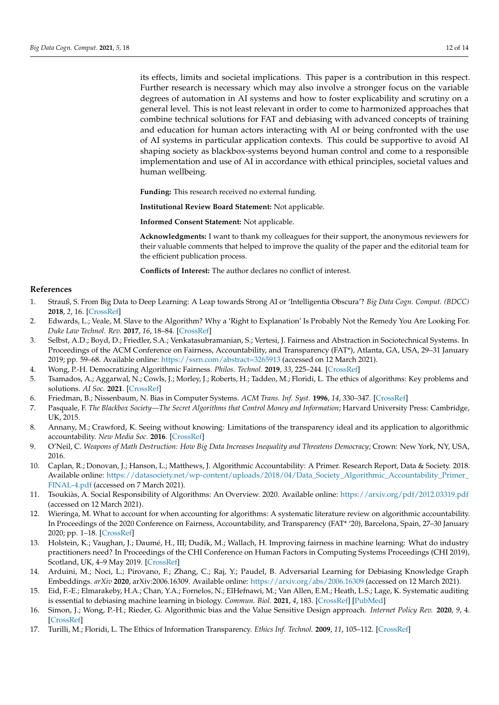its effects, limits and societal implications. This paper is a contribution in this respect. Further research is necessary which may also involve a stronger focus on the variable degrees of automation in AI systems and how to foster explicability and scrutiny on a general level. This is not least relevant in order to come to harmonized approaches that combine technical solutions for FAT and debiasing with advanced concepts of training and education for human actors interacting with AI or being confronted with the use of AI systems in particular application contexts. This could be supportive to avoid AI shaping society as blackbox-systems beyond human control and come to a responsible implementation and use of AI in accordance with ethical principles, societal values and human wellbeing.

**Funding:** This research received no external funding.

**Institutional Review Board Statement:** Not applicable.

**Informed Consent Statement:** Not applicable.

**Acknowledgments:** I want to thank my colleagues for their support, the anonymous reviewers for their valuable comments that helped to improve the quality of the paper and the editorial team for the efficient publication process.

**Conflicts of Interest:** The author declares no conflict of interest.

## **References**

- <span id="page-11-0"></span>1. Strauß, S. From Big Data to Deep Learning: A Leap towards Strong AI or 'Intelligentia Obscura'? *Big Data Cogn. Comput. (BDCC)* **2018**, *2*, 16. [\[CrossRef\]](http://doi.org/10.3390/bdcc2030016)
- 2. Edwards, L.; Veale, M. Slave to the Algorithm? Why a 'Right to Explanation' Is Probably Not the Remedy You Are Looking For. *Duke Law Technol. Rev.* **2017**, *16*, 18–84. [\[CrossRef\]](http://doi.org/10.2139/ssrn.2972855)
- <span id="page-11-3"></span>3. Selbst, A.D.; Boyd, D.; Friedler, S.A.; Venkatasubramanian, S.; Vertesi, J. Fairness and Abstraction in Sociotechnical Systems. In Proceedings of the ACM Conference on Fairness, Accountability, and Transparency (FAT\*), Atlanta, GA, USA, 29–31 January 2019; pp. 59–68. Available online: <https://ssrn.com/abstract=3265913> (accessed on 12 March 2021).
- <span id="page-11-4"></span>4. Wong, P.-H. Democratizing Algorithmic Fairness. *Philos. Technol.* **2019**, *33*, 225–244. [\[CrossRef\]](http://doi.org/10.1007/s13347-019-00355-w)
- <span id="page-11-1"></span>5. Tsamados, A.; Aggarwal, N.; Cowls, J.; Morley, J.; Roberts, H.; Taddeo, M.; Floridi, L. The ethics of algorithms: Key problems and solutions. *AI Soc.* **2021**. [\[CrossRef\]](http://doi.org/10.1007/s00146-021-01154-8)
- <span id="page-11-6"></span>6. Friedman, B.; Nissenbaum, N. Bias in Computer Systems. *ACM Trans. Inf. Syst.* **1996**, *14*, 330–347. [\[CrossRef\]](http://doi.org/10.1145/230538.230561)
- 7. Pasquale, F. *The Blackbox Society—The Secret Algorithms that Control Money and Information*; Harvard University Press: Cambridge, UK, 2015.
- 8. Annany, M.; Crawford, K. Seeing without knowing: Limitations of the transparency ideal and its application to algorithmic accountability. *New Media Soc.* **2016**. [\[CrossRef\]](http://doi.org/10.1177/1461444816676645)
- <span id="page-11-10"></span>9. O'Neil, C. *Weapons of Math Destruction: How Big Data Increases Inequality and Threatens Democracy*; Crown: New York, NY, USA, 2016.
- 10. Caplan, R.; Donovan, J.; Hanson, L.; Matthews, J. Algorithmic Accountability: A Primer. Research Report, Data & Society. 2018. Available online: [https://datasociety.net/wp-content/uploads/2018/04/Data\\_Society\\_Algorithmic\\_Accountability\\_Primer\\_](https://datasociety.net/wp-content/uploads/2018/04/Data_Society_Algorithmic_Accountability_Primer_FINAL-4.pdf) [FINAL-4.pdf](https://datasociety.net/wp-content/uploads/2018/04/Data_Society_Algorithmic_Accountability_Primer_FINAL-4.pdf) (accessed on 7 March 2021).
- <span id="page-11-7"></span>11. Tsoukiàs, A. Social Responsibility of Algorithms: An Overview. 2020. Available online: <https://arxiv.org/pdf/2012.03319.pdf> (accessed on 12 March 2021).
- <span id="page-11-2"></span>12. Wieringa, M. What to account for when accounting for algorithms: A systematic literature review on algorithmic accountability. In Proceedings of the 2020 Conference on Fairness, Accountability, and Transparency (FAT\* '20), Barcelona, Spain, 27–30 January 2020; pp. 1–18. [\[CrossRef\]](http://doi.org/10.1145/3351095.3372833)
- 13. Holstein, K.; Vaughan, J.; Daumé, H., III; Dudík, M.; Wallach, H. Improving fairness in machine learning: What do industry practitioners need? In Proceedings of the CHI Conference on Human Factors in Computing Systems Proceedings (CHI 2019), Scotland, UK, 4–9 May 2019. [\[CrossRef\]](http://doi.org/10.1145/3290605.3300830)
- 14. Arduini, M.; Noci, L.; Pirovano, F.; Zhang, C.; Raj, Y.; Paudel, B. Adversarial Learning for Debiasing Knowledge Graph Embeddings. *arXiv* **2020**, arXiv:2006.16309. Available online: <https://arxiv.org/abs/2006.16309> (accessed on 12 March 2021).
- <span id="page-11-5"></span>15. Eid, F.-E.; Elmarakeby, H.A.; Chan, Y.A.; Fornelos, N.; ElHefnawi, M.; Van Allen, E.M.; Heath, L.S.; Lage, K. Systematic auditing is essential to debiasing machine learning in biology. *Commun. Biol.* **2021**, *4*, 183. [\[CrossRef\]](http://doi.org/10.1038/s42003-021-01674-5) [\[PubMed\]](http://www.ncbi.nlm.nih.gov/pubmed/33568741)
- <span id="page-11-9"></span>16. Simon, J.; Wong, P.-H.; Rieder, G. Algorithmic bias and the Value Sensitive Design approach. *Internet Policy Rev.* **2020**, *9*, 4. [\[CrossRef\]](http://doi.org/10.14763/2020.4.1534)
- <span id="page-11-8"></span>17. Turilli, M.; Floridi, L. The Ethics of Information Transparency. *Ethics Inf. Technol.* **2009**, *11*, 105–112. [\[CrossRef\]](http://doi.org/10.1007/s10676-009-9187-9)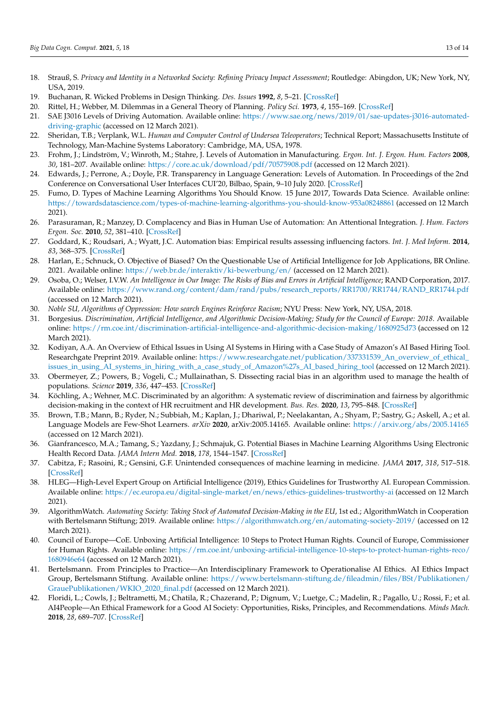- <span id="page-12-0"></span>18. Strauß, S. Privacy and Identity in a Networked Society: Refining Privacy Impact Assessment; Routledge: Abingdon, UK; New York, NY, USA, 2019.
- <span id="page-12-1"></span>19. Buchanan, R. Wicked Problems in Design Thinking. *Des. Issues* **1992**, *8*, 5–21. [\[CrossRef\]](http://doi.org/10.2307/1511637)
- <span id="page-12-2"></span>20. Rittel, H.; Webber, M. Dilemmas in a General Theory of Planning. *Policy Sci.* **1973**, *4*, 155–169. [\[CrossRef\]](http://doi.org/10.1007/BF01405730)
- <span id="page-12-3"></span>21. SAE J3016 Levels of Driving Automation. Available online: [https://www.sae.org/news/2019/01/sae-updates-j3016-automated](https://www.sae.org/news/2019/01/sae-updates-j3016-automated-driving-graphic)[driving-graphic](https://www.sae.org/news/2019/01/sae-updates-j3016-automated-driving-graphic) (accessed on 12 March 2021).
- <span id="page-12-4"></span>22. Sheridan, T.B.; Verplank, W.L. *Human and Computer Control of Undersea Teleoperators*; Technical Report; Massachusetts Institute of Technology, Man-Machine Systems Laboratory: Cambridge, MA, USA, 1978.
- <span id="page-12-5"></span>23. Frohm, J.; Lindström, V.; Winroth, M.; Stahre, J. Levels of Automation in Manufacturing. *Ergon. Int. J. Ergon. Hum. Factors* **2008**, *30*, 181–207. Available online: <https://core.ac.uk/download/pdf/70575908.pdf> (accessed on 12 March 2021).
- <span id="page-12-6"></span>24. Edwards, J.; Perrone, A.; Doyle, P.R. Transparency in Language Generation: Levels of Automation. In Proceedings of the 2nd Conference on Conversational User Interfaces CUI'20, Bilbao, Spain, 9–10 July 2020. [\[CrossRef\]](http://doi.org/10.1145/3405755.3406136)
- <span id="page-12-7"></span>25. Fumo, D. Types of Machine Learning Algorithms You Should Know. 15 June 2017, Towards Data Science. Available online: <https://towardsdatascience.com/types-of-machine-learning-algorithms-you-should-know-953a08248861> (accessed on 12 March 2021).
- <span id="page-12-8"></span>26. Parasuraman, R.; Manzey, D. Complacency and Bias in Human Use of Automation: An Attentional Integration. *J. Hum. Factors Ergon. Soc.* **2010**, *52*, 381–410. [\[CrossRef\]](http://doi.org/10.1177/0018720810376055)
- <span id="page-12-9"></span>27. Goddard, K.; Roudsari, A.; Wyatt, J.C. Automation bias: Empirical results assessing influencing factors. *Int. J. Med Inform.* **2014**, *83*, 368–375. [\[CrossRef\]](http://doi.org/10.1016/j.ijmedinf.2014.01.001)
- <span id="page-12-10"></span>28. Harlan, E.; Schnuck, O. Objective of Biased? On the Questionable Use of Artificial Intelligence for Job Applications, BR Online. 2021. Available online: <https://web.br.de/interaktiv/ki-bewerbung/en/> (accessed on 12 March 2021).
- <span id="page-12-11"></span>29. Osoba, O.; Welser, I.V.W. *An Intelligence in Our Image: The Risks of Bias and Errors in Artificial Intelligence*; RAND Corporation, 2017. Available online: [https://www.rand.org/content/dam/rand/pubs/research\\_reports/RR1700/RR1744/RAND\\_RR1744.pdf](https://www.rand.org/content/dam/rand/pubs/research_reports/RR1700/RR1744/RAND_RR1744.pdf) (accessed on 12 March 2021).
- 30. *Noble SU, Algorithms of Oppression: How search Engines Reinforce Racism*; NYU Press: New York, NY, USA, 2018.
- 31. Borgesius. *Discrimination, Artificial Intelligence, and Algorithmic Decision-Making; Study for the Council of Europe: 2018*. Available online: <https://rm.coe.int/discrimination-artificial-intelligence-and-algorithmic-decision-making/1680925d73> (accessed on 12 March 2021).
- 32. Kodiyan, A.A. An Overview of Ethical Issues in Using AI Systems in Hiring with a Case Study of Amazon's AI Based Hiring Tool. Researchgate Preprint 2019. Available online: [https://www.researchgate.net/publication/337331539\\_An\\_overview\\_of\\_ethical\\_](https://www.researchgate.net/publication/337331539_An_overview_of_ethical_issues_in_using_AI_systems_in_hiring_with_a_case_study_of_Amazon%27s_AI_based_hiring_tool) [issues\\_in\\_using\\_AI\\_systems\\_in\\_hiring\\_with\\_a\\_case\\_study\\_of\\_Amazon%27s\\_AI\\_based\\_hiring\\_tool](https://www.researchgate.net/publication/337331539_An_overview_of_ethical_issues_in_using_AI_systems_in_hiring_with_a_case_study_of_Amazon%27s_AI_based_hiring_tool) (accessed on 12 March 2021).
- <span id="page-12-15"></span>33. Obermeyer, Z.; Powers, B.; Vogeli, C.; Mullainathan, S. Dissecting racial bias in an algorithm used to manage the health of populations. *Science* **2019**, *336*, 447–453. [\[CrossRef\]](http://doi.org/10.1126/science.aax2342)
- <span id="page-12-12"></span>34. Köchling, A.; Wehner, M.C. Discriminated by an algorithm: A systematic review of discrimination and fairness by algorithmic decision-making in the context of HR recruitment and HR development. *Bus. Res.* **2020**, *13*, 795–848. [\[CrossRef\]](http://doi.org/10.1007/s40685-020-00134-w)
- <span id="page-12-13"></span>35. Brown, T.B.; Mann, B.; Ryder, N.; Subbiah, M.; Kaplan, J.; Dhariwal, P.; Neelakantan, A.; Shyam, P.; Sastry, G.; Askell, A.; et al. Language Models are Few-Shot Learners. *arXiv* **2020**, arXiv:2005.14165. Available online: <https://arxiv.org/abs/2005.14165> (accessed on 12 March 2021).
- <span id="page-12-14"></span>36. Gianfrancesco, M.A.; Tamang, S.; Yazdany, J.; Schmajuk, G. Potential Biases in Machine Learning Algorithms Using Electronic Health Record Data. *JAMA Intern Med.* **2018**, *178*, 1544–1547. [\[CrossRef\]](http://doi.org/10.1001/jamainternmed.2018.3763)
- <span id="page-12-16"></span>37. Cabitza, F.; Rasoini, R.; Gensini, G.F. Unintended consequences of machine learning in medicine. *JAMA* **2017**, *318*, 517–518. [\[CrossRef\]](http://doi.org/10.1001/jama.2017.7797)
- <span id="page-12-17"></span>38. HLEG—High-Level Expert Group on Artificial Intelligence (2019), Ethics Guidelines for Trustworthy AI. European Commission. Available online: <https://ec.europa.eu/digital-single-market/en/news/ethics-guidelines-trustworthy-ai> (accessed on 12 March 2021).
- 39. AlgorithmWatch. *Automating Society: Taking Stock of Automated Decision-Making in the EU*, 1st ed.; AlgorithmWatch in Cooperation with Bertelsmann Stiftung; 2019. Available online: <https://algorithmwatch.org/en/automating-society-2019/> (accessed on 12 March 2021).
- 40. Council of Europe—CoE. Unboxing Artificial Intelligence: 10 Steps to Protect Human Rights. Council of Europe, Commissioner for Human Rights. Available online: [https://rm.coe.int/unboxing-artificial-intelligence-10-steps-to-protect-human-rights-reco/](https://rm.coe.int/unboxing-artificial-intelligence-10-steps-to-protect-human-rights-reco/1680946e64) [1680946e64](https://rm.coe.int/unboxing-artificial-intelligence-10-steps-to-protect-human-rights-reco/1680946e64) (accessed on 12 March 2021).
- 41. Bertelsmann. From Principles to Practice—An Interdisciplinary Framework to Operationalise AI Ethics. AI Ethics Impact Group, Bertelsmann Stiftung. Available online: [https://www.bertelsmann-stiftung.de/fileadmin/files/BSt/Publikationen/](https://www.bertelsmann-stiftung.de/fileadmin/files/BSt/Publikationen/GrauePublikationen/WKIO_2020_final.pdf) [GrauePublikationen/WKIO\\_2020\\_final.pdf](https://www.bertelsmann-stiftung.de/fileadmin/files/BSt/Publikationen/GrauePublikationen/WKIO_2020_final.pdf) (accessed on 12 March 2021).
- <span id="page-12-18"></span>42. Floridi, L.; Cowls, J.; Beltrametti, M.; Chatila, R.; Chazerand, P.; Dignum, V.; Luetge, C.; Madelin, R.; Pagallo, U.; Rossi, F.; et al. AI4People—An Ethical Framework for a Good AI Society: Opportunities, Risks, Principles, and Recommendations. *Minds Mach.* **2018**, *28*, 689–707. [\[CrossRef\]](http://doi.org/10.1007/s11023-018-9482-5)